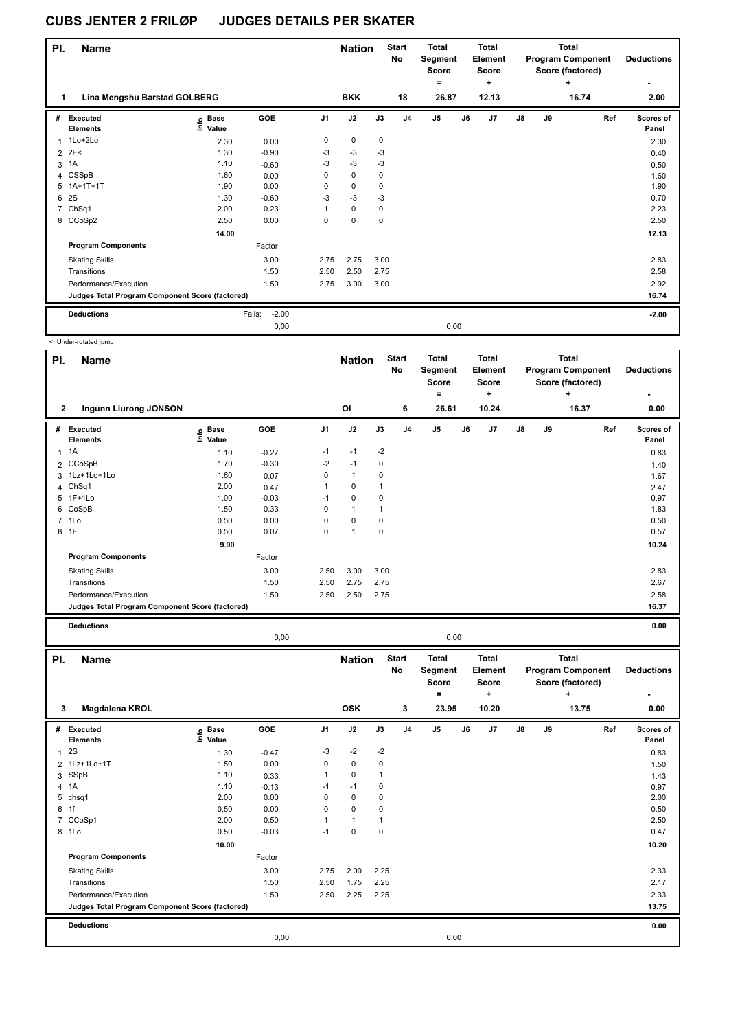| PI. | <b>Name</b>                                     |                                  |                   |                | <b>Nation</b> |             | <b>Start</b><br>No | <b>Total</b><br>Segment<br><b>Score</b><br>$=$ |      | <b>Total</b><br><b>Element</b><br><b>Score</b><br>÷ |               |    | <b>Total</b><br><b>Program Component</b><br>Score (factored)<br>٠ | <b>Deductions</b>  |
|-----|-------------------------------------------------|----------------------------------|-------------------|----------------|---------------|-------------|--------------------|------------------------------------------------|------|-----------------------------------------------------|---------------|----|-------------------------------------------------------------------|--------------------|
|     | Lina Mengshu Barstad GOLBERG                    |                                  |                   |                | <b>BKK</b>    |             | 18                 | 26.87                                          |      | 12.13                                               |               |    | 16.74                                                             | 2.00               |
| #   | Executed<br><b>Elements</b>                     | <b>Base</b><br>e Base<br>⊆ Value | <b>GOE</b>        | J <sub>1</sub> | J2            | J3          | J <sub>4</sub>     | J <sub>5</sub>                                 | J6   | J <sub>7</sub>                                      | $\mathsf{J}8$ | J9 | Ref                                                               | Scores of<br>Panel |
| 1   | 1Lo+2Lo                                         | 2.30                             | 0.00              | 0              | 0             | 0           |                    |                                                |      |                                                     |               |    |                                                                   | 2.30               |
|     | $2$ $2F<$                                       | 1.30                             | $-0.90$           | $-3$           | $-3$          | $-3$        |                    |                                                |      |                                                     |               |    |                                                                   | 0.40               |
| 3   | 1A                                              | 1.10                             | $-0.60$           | $-3$           | $-3$          | $-3$        |                    |                                                |      |                                                     |               |    |                                                                   | 0.50               |
|     | 4 CSSpB                                         | 1.60                             | 0.00              | 0              | $\mathbf 0$   | $\mathbf 0$ |                    |                                                |      |                                                     |               |    |                                                                   | 1.60               |
| 5   | $1A+1T+1T$                                      | 1.90                             | 0.00              | 0              | $\mathbf 0$   | $\mathbf 0$ |                    |                                                |      |                                                     |               |    |                                                                   | 1.90               |
| 6   | 2S                                              | 1.30                             | $-0.60$           | $-3$           | $-3$          | $-3$        |                    |                                                |      |                                                     |               |    |                                                                   | 0.70               |
| 7   | ChSq1                                           | 2.00                             | 0.23              | 1              | $\mathbf 0$   | $\mathbf 0$ |                    |                                                |      |                                                     |               |    |                                                                   | 2.23               |
|     | 8 CCoSp2                                        | 2.50                             | 0.00              | 0              | 0             | $\mathbf 0$ |                    |                                                |      |                                                     |               |    |                                                                   | 2.50               |
|     |                                                 | 14.00                            |                   |                |               |             |                    |                                                |      |                                                     |               |    |                                                                   | 12.13              |
|     | <b>Program Components</b>                       |                                  | Factor            |                |               |             |                    |                                                |      |                                                     |               |    |                                                                   |                    |
|     | <b>Skating Skills</b>                           |                                  | 3.00              | 2.75           | 2.75          | 3.00        |                    |                                                |      |                                                     |               |    |                                                                   | 2.83               |
|     | Transitions                                     |                                  | 1.50              | 2.50           | 2.50          | 2.75        |                    |                                                |      |                                                     |               |    |                                                                   | 2.58               |
|     | Performance/Execution                           |                                  | 1.50              | 2.75           | 3.00          | 3.00        |                    |                                                |      |                                                     |               |    |                                                                   | 2.92               |
|     | Judges Total Program Component Score (factored) |                                  |                   |                |               |             |                    |                                                |      |                                                     |               |    |                                                                   | 16.74              |
|     | <b>Deductions</b>                               |                                  | $-2.00$<br>Falls: |                |               |             |                    |                                                |      |                                                     |               |    |                                                                   | $-2.00$            |
|     |                                                 |                                  | 0,00              |                |               |             |                    |                                                | 0,00 |                                                     |               |    |                                                                   |                    |

|                | < Under-rotated jump                            |                            |         |                |               |             |                    |                                                              |    |                                              |               |    |                                                            |     |                           |
|----------------|-------------------------------------------------|----------------------------|---------|----------------|---------------|-------------|--------------------|--------------------------------------------------------------|----|----------------------------------------------|---------------|----|------------------------------------------------------------|-----|---------------------------|
| PI.            | <b>Name</b>                                     |                            |         |                | <b>Nation</b> |             | <b>Start</b><br>No | <b>Total</b><br>Segment<br><b>Score</b><br>$\qquad \qquad =$ |    | <b>Total</b><br>Element<br><b>Score</b><br>٠ |               |    | Total<br><b>Program Component</b><br>Score (factored)<br>÷ |     | <b>Deductions</b>         |
| $\mathbf{2}$   | <b>Ingunn Liurong JONSON</b>                    |                            |         |                | OI            |             | 6                  | 26.61                                                        |    | 10.24                                        |               |    | 16.37                                                      |     | 0.00                      |
| #              | Executed<br><b>Elements</b>                     | e Base<br>E Value<br>Value | GOE     | J <sub>1</sub> | J2            | J3          | J <sub>4</sub>     | J <sub>5</sub>                                               | J6 | J <sub>7</sub>                               | $\mathsf{J}8$ | J9 |                                                            | Ref | <b>Scores of</b><br>Panel |
| $\mathbf{1}$   | 1A                                              | 1.10                       | $-0.27$ | $-1$           | $-1$          | $-2$        |                    |                                                              |    |                                              |               |    |                                                            |     | 0.83                      |
|                | 2 CCoSpB                                        | 1.70                       | $-0.30$ | $-2$           | $-1$          | 0           |                    |                                                              |    |                                              |               |    |                                                            |     | 1.40                      |
|                | 3 1Lz+1Lo+1Lo                                   | 1.60                       | 0.07    | 0              | $\mathbf{1}$  | 0           |                    |                                                              |    |                                              |               |    |                                                            |     | 1.67                      |
|                | 4 ChSq1                                         | 2.00                       | 0.47    | $\mathbf{1}$   | $\mathbf 0$   | 1           |                    |                                                              |    |                                              |               |    |                                                            |     | 2.47                      |
|                | 5 1F+1Lo                                        | 1.00                       | $-0.03$ | $-1$           | $\mathbf 0$   | $\mathbf 0$ |                    |                                                              |    |                                              |               |    |                                                            |     | 0.97                      |
| 6              | CoSpB                                           | 1.50                       | 0.33    | 0              | $\mathbf{1}$  | 1           |                    |                                                              |    |                                              |               |    |                                                            |     | 1.83                      |
| $\overline{7}$ | 1Lo                                             | 0.50                       | 0.00    | $\Omega$       | 0             | 0           |                    |                                                              |    |                                              |               |    |                                                            |     | 0.50                      |
|                | 8 1F                                            | 0.50                       | 0.07    | $\mathbf 0$    | $\mathbf{1}$  | $\mathbf 0$ |                    |                                                              |    |                                              |               |    |                                                            |     | 0.57                      |
|                |                                                 | 9.90                       |         |                |               |             |                    |                                                              |    |                                              |               |    |                                                            |     | 10.24                     |
|                | <b>Program Components</b>                       |                            | Factor  |                |               |             |                    |                                                              |    |                                              |               |    |                                                            |     |                           |
|                | <b>Skating Skills</b>                           |                            | 3.00    | 2.50           | 3.00          | 3.00        |                    |                                                              |    |                                              |               |    |                                                            |     | 2.83                      |
|                | Transitions                                     |                            | 1.50    | 2.50           | 2.75          | 2.75        |                    |                                                              |    |                                              |               |    |                                                            |     | 2.67                      |
|                | Performance/Execution                           |                            | 1.50    | 2.50           | 2.50          | 2.75        |                    |                                                              |    |                                              |               |    |                                                            |     | 2.58                      |
|                | Judges Total Program Component Score (factored) |                            |         |                |               |             |                    |                                                              |    |                                              |               |    |                                                            |     | 16.37                     |
|                | <b>Deductions</b>                               |                            |         |                |               |             |                    |                                                              |    |                                              |               |    |                                                            |     | 0.00                      |

| PI.          | <b>Name</b>                                     |                            |         |          | <b>Nation</b> |      | <b>Start</b><br>No | <b>Total</b><br>Segment<br><b>Score</b> |      | <b>Total</b><br>Element<br><b>Score</b> |               |    | <b>Total</b><br><b>Program Component</b><br>Score (factored) | <b>Deductions</b>  |
|--------------|-------------------------------------------------|----------------------------|---------|----------|---------------|------|--------------------|-----------------------------------------|------|-----------------------------------------|---------------|----|--------------------------------------------------------------|--------------------|
|              |                                                 |                            |         |          |               |      |                    | ۰                                       |      | ٠                                       |               |    | ÷                                                            | ٠                  |
| 3            | <b>Magdalena KROL</b>                           |                            |         |          | <b>OSK</b>    |      | 3                  | 23.95                                   |      | 10.20                                   |               |    | 13.75                                                        | 0.00               |
| #            | Executed<br><b>Elements</b>                     | e Base<br>⊑ Value<br>Value | GOE     | J1       | J2            | J3   | J <sub>4</sub>     | J <sub>5</sub>                          | J6   | J7                                      | $\mathsf{J}8$ | J9 | Ref                                                          | Scores of<br>Panel |
| $\mathbf{1}$ | 2S                                              | 1.30                       | $-0.47$ | $-3$     | $-2$          | $-2$ |                    |                                         |      |                                         |               |    |                                                              | 0.83               |
|              | 2 1Lz+1Lo+1T                                    | 1.50                       | 0.00    | 0        | $\mathbf 0$   | 0    |                    |                                         |      |                                         |               |    |                                                              | 1.50               |
|              | 3 SSpB                                          | 1.10                       | 0.33    | 1        | $\mathbf 0$   |      |                    |                                         |      |                                         |               |    |                                                              | 1.43               |
|              | 4 1A                                            | 1.10                       | $-0.13$ | $-1$     | $-1$          | 0    |                    |                                         |      |                                         |               |    |                                                              | 0.97               |
|              | 5 chsq1                                         | 2.00                       | 0.00    | 0        | $\mathbf 0$   | 0    |                    |                                         |      |                                         |               |    |                                                              | 2.00               |
|              | 6 1f                                            | 0.50                       | 0.00    | $\Omega$ | $\mathbf 0$   | 0    |                    |                                         |      |                                         |               |    |                                                              | 0.50               |
| $7^{\circ}$  | CCoSp1                                          | 2.00                       | 0.50    | 1        | $\mathbf{1}$  |      |                    |                                         |      |                                         |               |    |                                                              | 2.50               |
|              | 8 1Lo                                           | 0.50                       | $-0.03$ | $-1$     | $\mathbf 0$   | 0    |                    |                                         |      |                                         |               |    |                                                              | 0.47               |
|              |                                                 | 10.00                      |         |          |               |      |                    |                                         |      |                                         |               |    |                                                              | 10.20              |
|              | <b>Program Components</b>                       |                            | Factor  |          |               |      |                    |                                         |      |                                         |               |    |                                                              |                    |
|              | <b>Skating Skills</b>                           |                            | 3.00    | 2.75     | 2.00          | 2.25 |                    |                                         |      |                                         |               |    |                                                              | 2.33               |
|              | Transitions                                     |                            | 1.50    | 2.50     | 1.75          | 2.25 |                    |                                         |      |                                         |               |    |                                                              | 2.17               |
|              | Performance/Execution                           |                            | 1.50    | 2.50     | 2.25          | 2.25 |                    |                                         |      |                                         |               |    |                                                              | 2.33               |
|              | Judges Total Program Component Score (factored) |                            |         |          |               |      |                    |                                         |      |                                         |               |    |                                                              | 13.75              |
|              | <b>Deductions</b>                               |                            |         |          |               |      |                    |                                         |      |                                         |               |    |                                                              | 0.00               |
|              |                                                 |                            | 0,00    |          |               |      |                    |                                         | 0,00 |                                         |               |    |                                                              |                    |

0,00 0,00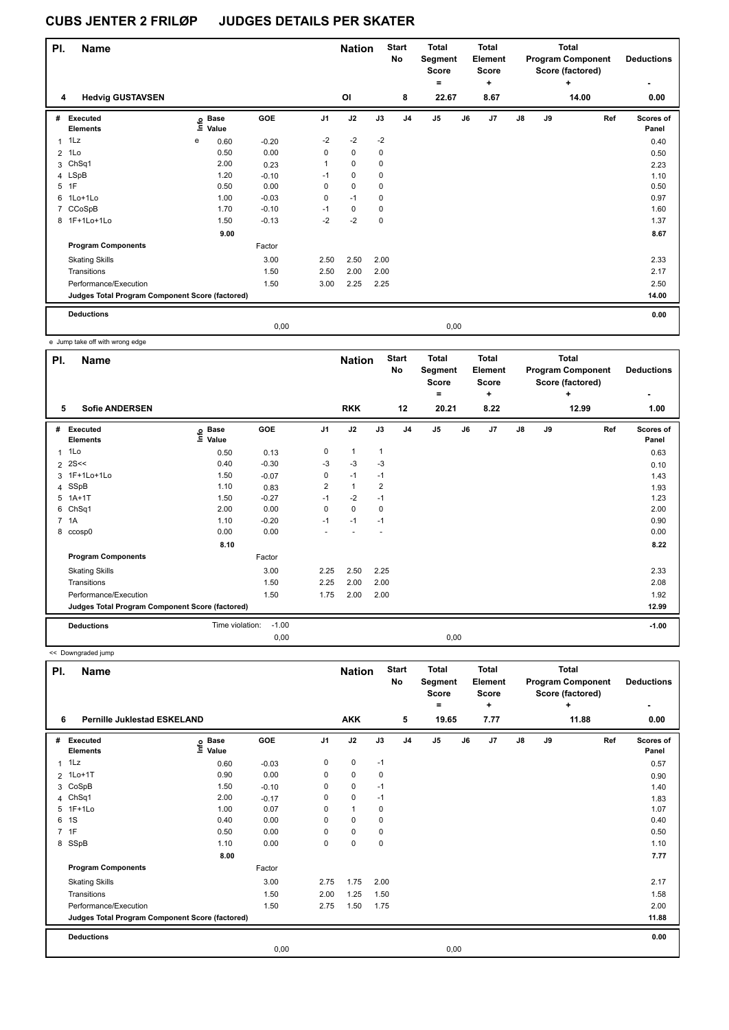| PI.            | <b>Name</b>                                     |      |                      |         |                | <b>Nation</b> |             | <b>Start</b><br>No | <b>Total</b><br>Segment<br><b>Score</b><br>۰ |      | <b>Total</b><br>Element<br><b>Score</b><br>٠ |    |    | Total<br><b>Program Component</b><br>Score (factored)<br>٠ | <b>Deductions</b>  |
|----------------|-------------------------------------------------|------|----------------------|---------|----------------|---------------|-------------|--------------------|----------------------------------------------|------|----------------------------------------------|----|----|------------------------------------------------------------|--------------------|
| 4              | <b>Hedvig GUSTAVSEN</b>                         |      |                      |         |                | OI            |             | 8                  | 22.67                                        |      | 8.67                                         |    |    | 14.00                                                      | 0.00               |
| #              | Executed<br><b>Elements</b>                     | ١nfo | <b>Base</b><br>Value | GOE     | J <sub>1</sub> | J2            | J3          | J <sub>4</sub>     | J <sub>5</sub>                               | J6   | J7                                           | J8 | J9 | Ref                                                        | Scores of<br>Panel |
|                | $1$ 1 Lz                                        | e    | 0.60                 | $-0.20$ | $-2$           | $-2$          | $-2$        |                    |                                              |      |                                              |    |    |                                                            | 0.40               |
| $\overline{2}$ | 1Lo                                             |      | 0.50                 | 0.00    | 0              | $\pmb{0}$     | 0           |                    |                                              |      |                                              |    |    |                                                            | 0.50               |
| 3              | ChSq1                                           |      | 2.00                 | 0.23    | 1              | $\mathbf 0$   | 0           |                    |                                              |      |                                              |    |    |                                                            | 2.23               |
|                | 4 LSpB                                          |      | 1.20                 | $-0.10$ | $-1$           | $\mathbf 0$   | 0           |                    |                                              |      |                                              |    |    |                                                            | 1.10               |
| 5              | 1F                                              |      | 0.50                 | 0.00    | 0              | $\mathbf 0$   | $\mathbf 0$ |                    |                                              |      |                                              |    |    |                                                            | 0.50               |
|                | 6 1Lo+1Lo                                       |      | 1.00                 | $-0.03$ | 0              | $-1$          | 0           |                    |                                              |      |                                              |    |    |                                                            | 0.97               |
| $\overline{7}$ | CCoSpB                                          |      | 1.70                 | $-0.10$ | $-1$           | 0             | 0           |                    |                                              |      |                                              |    |    |                                                            | 1.60               |
|                | 8 1F+1Lo+1Lo                                    |      | 1.50                 | $-0.13$ | $-2$           | $-2$          | $\mathbf 0$ |                    |                                              |      |                                              |    |    |                                                            | 1.37               |
|                |                                                 |      | 9.00                 |         |                |               |             |                    |                                              |      |                                              |    |    |                                                            | 8.67               |
|                | <b>Program Components</b>                       |      |                      | Factor  |                |               |             |                    |                                              |      |                                              |    |    |                                                            |                    |
|                | <b>Skating Skills</b>                           |      |                      | 3.00    | 2.50           | 2.50          | 2.00        |                    |                                              |      |                                              |    |    |                                                            | 2.33               |
|                | Transitions                                     |      |                      | 1.50    | 2.50           | 2.00          | 2.00        |                    |                                              |      |                                              |    |    |                                                            | 2.17               |
|                | Performance/Execution                           |      |                      | 1.50    | 3.00           | 2.25          | 2.25        |                    |                                              |      |                                              |    |    |                                                            | 2.50               |
|                | Judges Total Program Component Score (factored) |      |                      |         |                |               |             |                    |                                              |      |                                              |    |    |                                                            | 14.00              |
|                | <b>Deductions</b>                               |      |                      |         |                |               |             |                    |                                              |      |                                              |    |    |                                                            | 0.00               |
|                |                                                 |      |                      | 0,00    |                |               |             |                    |                                              | 0,00 |                                              |    |    |                                                            |                    |

e Jump take off with wrong edge

| PI. | <b>Name</b>                                     |                   |         |                | <b>Nation</b> |              | <b>Start</b><br>No | <b>Total</b><br>Segment<br><b>Score</b><br>Ξ. |    | <b>Total</b><br>Element<br><b>Score</b><br>٠ |               |    | Total<br><b>Program Component</b><br>Score (factored)<br>٠ | <b>Deductions</b>  |
|-----|-------------------------------------------------|-------------------|---------|----------------|---------------|--------------|--------------------|-----------------------------------------------|----|----------------------------------------------|---------------|----|------------------------------------------------------------|--------------------|
| 5   | <b>Sofie ANDERSEN</b>                           |                   |         |                | <b>RKK</b>    |              | 12                 | 20.21                                         |    | 8.22                                         |               |    | 12.99                                                      | 1.00               |
| #   | <b>Executed</b><br><b>Elements</b>              | e Base<br>E Value | GOE     | J <sub>1</sub> | J2            | J3           | J <sub>4</sub>     | J <sub>5</sub>                                | J6 | J <sub>7</sub>                               | $\mathsf{J}8$ | J9 | Ref                                                        | Scores of<br>Panel |
| 1   | 1Lo                                             | 0.50              | 0.13    | 0              | $\mathbf{1}$  | $\mathbf{1}$ |                    |                                               |    |                                              |               |    |                                                            | 0.63               |
| 2   | 2S <                                            | 0.40              | $-0.30$ | $-3$           | $-3$          | $-3$         |                    |                                               |    |                                              |               |    |                                                            | 0.10               |
| 3   | 1F+1Lo+1Lo                                      | 1.50              | $-0.07$ | 0              | $-1$          | $-1$         |                    |                                               |    |                                              |               |    |                                                            | 1.43               |
|     | 4 SSpB                                          | 1.10              | 0.83    | 2              | $\mathbf{1}$  | 2            |                    |                                               |    |                                              |               |    |                                                            | 1.93               |
| 5   | $1A+1T$                                         | 1.50              | $-0.27$ | $-1$           | $-2$          | $-1$         |                    |                                               |    |                                              |               |    |                                                            | 1.23               |
| 6   | ChSq1                                           | 2.00              | 0.00    | $\Omega$       | $\mathbf 0$   | 0            |                    |                                               |    |                                              |               |    |                                                            | 2.00               |
|     | 7 1A                                            | 1.10              | $-0.20$ | $-1$           | $-1$          | $-1$         |                    |                                               |    |                                              |               |    |                                                            | 0.90               |
| 8   | ccosp0                                          | 0.00              | 0.00    |                |               |              |                    |                                               |    |                                              |               |    |                                                            | 0.00               |
|     |                                                 | 8.10              |         |                |               |              |                    |                                               |    |                                              |               |    |                                                            | 8.22               |
|     | <b>Program Components</b>                       |                   | Factor  |                |               |              |                    |                                               |    |                                              |               |    |                                                            |                    |
|     | <b>Skating Skills</b>                           |                   | 3.00    | 2.25           | 2.50          | 2.25         |                    |                                               |    |                                              |               |    |                                                            | 2.33               |
|     | Transitions                                     |                   | 1.50    | 2.25           | 2.00          | 2.00         |                    |                                               |    |                                              |               |    |                                                            | 2.08               |
|     | Performance/Execution                           |                   | 1.50    | 1.75           | 2.00          | 2.00         |                    |                                               |    |                                              |               |    |                                                            | 1.92               |
|     | Judges Total Program Component Score (factored) |                   |         |                |               |              |                    |                                               |    |                                              |               |    |                                                            | 12.99              |
|     | <b>Deductions</b>                               | Time violation:   | $-1.00$ |                |               |              |                    |                                               |    |                                              |               |    |                                                            | $-1.00$            |
|     |                                                 |                   | 0,00    |                |               |              |                    | 0,00                                          |    |                                              |               |    |                                                            |                    |

<< Downgraded jump

| PI.            | Name<br><b>Pernille Juklestad ESKELAND</b><br>6 |                                  |            |                | <b>Nation</b> |             | <b>Start</b><br>No | <b>Total</b><br>Segment<br><b>Score</b><br>$=$ |      | <b>Total</b><br><b>Element</b><br><b>Score</b><br>٠ |               |    | <b>Total</b><br><b>Program Component</b><br>Score (factored)<br>÷ | <b>Deductions</b>  |
|----------------|-------------------------------------------------|----------------------------------|------------|----------------|---------------|-------------|--------------------|------------------------------------------------|------|-----------------------------------------------------|---------------|----|-------------------------------------------------------------------|--------------------|
|                |                                                 |                                  |            |                | <b>AKK</b>    |             | 5                  | 19.65                                          |      | 7.77                                                |               |    | 11.88                                                             | 0.00               |
| #              | Executed<br><b>Elements</b>                     | <b>Base</b><br>e Base<br>⊑ Value | <b>GOE</b> | J <sub>1</sub> | J2            | J3          | J <sub>4</sub>     | J <sub>5</sub>                                 | J6   | J7                                                  | $\mathsf{J}8$ | J9 | Ref                                                               | Scores of<br>Panel |
| 1              | 1Lz                                             | 0.60                             | $-0.03$    | 0              | $\mathbf 0$   | $-1$        |                    |                                                |      |                                                     |               |    |                                                                   | 0.57               |
|                | 2 1Lo+1T                                        | 0.90                             | 0.00       | 0              | $\mathbf 0$   | 0           |                    |                                                |      |                                                     |               |    |                                                                   | 0.90               |
| 3              | CoSpB                                           | 1.50                             | $-0.10$    | 0              | $\mathbf 0$   | $-1$        |                    |                                                |      |                                                     |               |    |                                                                   | 1.40               |
|                | 4 ChSq1                                         | 2.00                             | $-0.17$    | 0              | 0             | $-1$        |                    |                                                |      |                                                     |               |    |                                                                   | 1.83               |
| 5              | $1F+1Lo$                                        | 1.00                             | 0.07       | 0              | $\mathbf{1}$  | 0           |                    |                                                |      |                                                     |               |    |                                                                   | 1.07               |
| 6              | 1S                                              | 0.40                             | 0.00       | 0              | 0             | 0           |                    |                                                |      |                                                     |               |    |                                                                   | 0.40               |
| $\overline{7}$ | 1F                                              | 0.50                             | 0.00       | 0              | 0             | 0           |                    |                                                |      |                                                     |               |    |                                                                   | 0.50               |
|                | 8 SSpB                                          | 1.10                             | 0.00       | 0              | $\mathbf 0$   | $\mathbf 0$ |                    |                                                |      |                                                     |               |    |                                                                   | 1.10               |
|                |                                                 | 8.00                             |            |                |               |             |                    |                                                |      |                                                     |               |    |                                                                   | 7.77               |
|                | <b>Program Components</b>                       |                                  | Factor     |                |               |             |                    |                                                |      |                                                     |               |    |                                                                   |                    |
|                | <b>Skating Skills</b>                           |                                  | 3.00       | 2.75           | 1.75          | 2.00        |                    |                                                |      |                                                     |               |    |                                                                   | 2.17               |
|                | Transitions                                     |                                  | 1.50       | 2.00           | 1.25          | 1.50        |                    |                                                |      |                                                     |               |    |                                                                   | 1.58               |
|                | Performance/Execution                           |                                  | 1.50       | 2.75           | 1.50          | 1.75        |                    |                                                |      |                                                     |               |    |                                                                   | 2.00               |
|                | Judges Total Program Component Score (factored) |                                  |            |                |               |             |                    |                                                |      |                                                     |               |    |                                                                   | 11.88              |
|                | <b>Deductions</b>                               |                                  |            |                |               |             |                    |                                                |      |                                                     |               |    |                                                                   | 0.00               |
|                |                                                 |                                  | 0,00       |                |               |             |                    |                                                | 0,00 |                                                     |               |    |                                                                   |                    |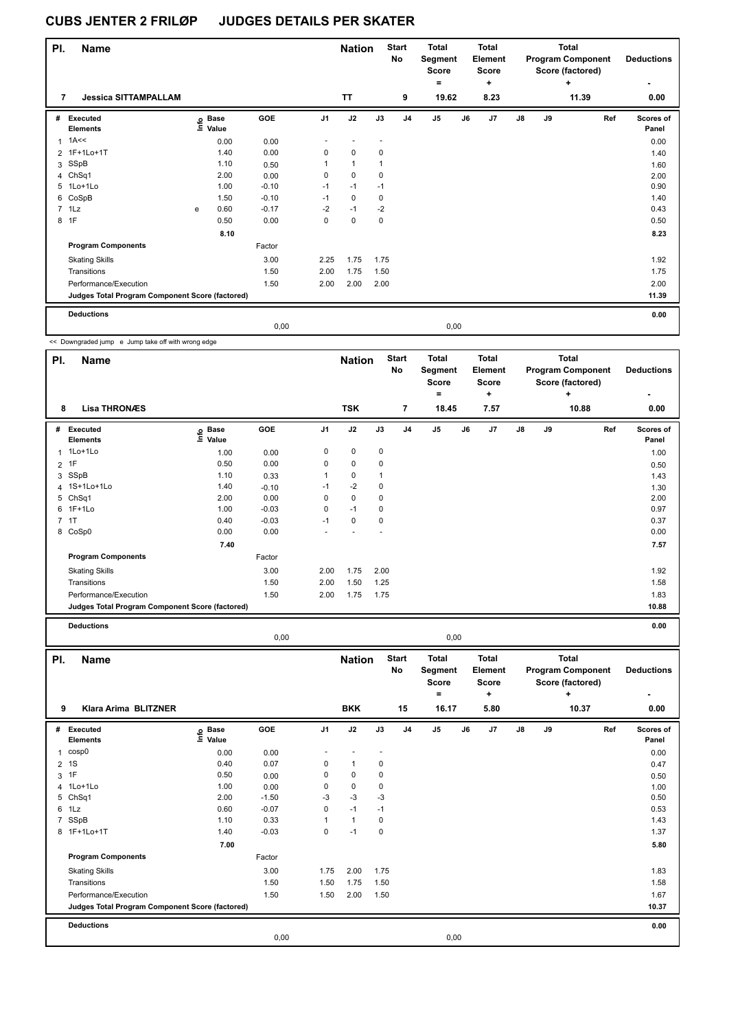| PI. | <b>Name</b>                                     |   |                                  |            |                | <b>Nation</b> |             | <b>Start</b><br>No | <b>Total</b><br>Segment<br><b>Score</b><br>۰ |      | Total<br>Element<br><b>Score</b><br>٠ |               |    | <b>Total</b><br><b>Program Component</b><br>Score (factored)<br>٠ | <b>Deductions</b>         |
|-----|-------------------------------------------------|---|----------------------------------|------------|----------------|---------------|-------------|--------------------|----------------------------------------------|------|---------------------------------------|---------------|----|-------------------------------------------------------------------|---------------------------|
| 7   | <b>Jessica SITTAMPALLAM</b>                     |   |                                  |            |                | <b>TT</b>     |             | 9                  | 19.62                                        |      | 8.23                                  |               |    | 11.39                                                             | 0.00                      |
| #   | <b>Executed</b><br><b>Elements</b>              |   | <b>Base</b><br>o Base<br>⊆ Value | <b>GOE</b> | J <sub>1</sub> | J2            | J3          | J <sub>4</sub>     | J <sub>5</sub>                               | J6   | J7                                    | $\mathsf{J}8$ | J9 | Ref                                                               | <b>Scores of</b><br>Panel |
| 1   | 1A<<                                            |   | 0.00                             | 0.00       |                |               |             |                    |                                              |      |                                       |               |    |                                                                   | 0.00                      |
|     | 2 1F+1Lo+1T                                     |   | 1.40                             | 0.00       | 0              | $\mathbf 0$   | 0           |                    |                                              |      |                                       |               |    |                                                                   | 1.40                      |
|     | 3 SSpB                                          |   | 1.10                             | 0.50       | 1              | $\mathbf{1}$  | 1           |                    |                                              |      |                                       |               |    |                                                                   | 1.60                      |
|     | 4 ChSq1                                         |   | 2.00                             | 0.00       | 0              | $\Omega$      | $\Omega$    |                    |                                              |      |                                       |               |    |                                                                   | 2.00                      |
|     | 5 1Lo+1Lo                                       |   | 1.00                             | $-0.10$    | $-1$           | $-1$          | $-1$        |                    |                                              |      |                                       |               |    |                                                                   | 0.90                      |
|     | 6 CoSpB                                         |   | 1.50                             | $-0.10$    | $-1$           | $\mathbf 0$   | $\mathbf 0$ |                    |                                              |      |                                       |               |    |                                                                   | 1.40                      |
|     | $7$ 1 Lz                                        | е | 0.60                             | $-0.17$    | $-2$           | $-1$          | $-2$        |                    |                                              |      |                                       |               |    |                                                                   | 0.43                      |
|     | 8 1F                                            |   | 0.50                             | 0.00       | $\mathbf 0$    | $\mathbf 0$   | $\mathbf 0$ |                    |                                              |      |                                       |               |    |                                                                   | 0.50                      |
|     |                                                 |   | 8.10                             |            |                |               |             |                    |                                              |      |                                       |               |    |                                                                   | 8.23                      |
|     | <b>Program Components</b>                       |   |                                  | Factor     |                |               |             |                    |                                              |      |                                       |               |    |                                                                   |                           |
|     | <b>Skating Skills</b>                           |   |                                  | 3.00       | 2.25           | 1.75          | 1.75        |                    |                                              |      |                                       |               |    |                                                                   | 1.92                      |
|     | Transitions                                     |   |                                  | 1.50       | 2.00           | 1.75          | 1.50        |                    |                                              |      |                                       |               |    |                                                                   | 1.75                      |
|     | Performance/Execution                           |   |                                  | 1.50       | 2.00           | 2.00          | 2.00        |                    |                                              |      |                                       |               |    |                                                                   | 2.00                      |
|     | Judges Total Program Component Score (factored) |   |                                  |            |                |               |             |                    |                                              |      |                                       |               |    |                                                                   | 11.39                     |
|     | <b>Deductions</b>                               |   |                                  |            |                |               |             |                    |                                              |      |                                       |               |    |                                                                   | 0.00                      |
|     |                                                 |   |                                  | 0,00       |                |               |             |                    |                                              | 0,00 |                                       |               |    |                                                                   |                           |

<< Downgraded jump e Jump take off with wrong edge

ı

| PI. | <b>Name</b>                                     |                   |            |                | <b>Nation</b> |      | <b>Start</b><br>No | <b>Total</b><br>Segment<br><b>Score</b> |    | <b>Total</b><br>Element<br><b>Score</b> |               |           | <b>Total</b><br><b>Program Component</b><br>Score (factored) | <b>Deductions</b>         |
|-----|-------------------------------------------------|-------------------|------------|----------------|---------------|------|--------------------|-----------------------------------------|----|-----------------------------------------|---------------|-----------|--------------------------------------------------------------|---------------------------|
| 8   | <b>Lisa THRONÆS</b>                             |                   |            |                | <b>TSK</b>    |      | $\overline{7}$     | $=$<br>18.45                            |    | ٠<br>7.57                               |               |           | $\ddot{}$<br>10.88                                           | 0.00                      |
| #   | <b>Executed</b><br><b>Elements</b>              | e Base<br>E Value | <b>GOE</b> | J <sub>1</sub> | J2            | J3   | J <sub>4</sub>     | J <sub>5</sub>                          | J6 | J7                                      | $\mathsf{J}8$ | <b>J9</b> | Ref                                                          | <b>Scores of</b><br>Panel |
| 1   | 1Lo+1Lo                                         | 1.00              | 0.00       | 0              | 0             | 0    |                    |                                         |    |                                         |               |           |                                                              | 1.00                      |
|     | 2 1F                                            | 0.50              | 0.00       | 0              | 0             | 0    |                    |                                         |    |                                         |               |           |                                                              | 0.50                      |
| 3   | SSpB                                            | 1.10              | 0.33       | 1              | 0             |      |                    |                                         |    |                                         |               |           |                                                              | 1.43                      |
|     | 4 1S+1Lo+1Lo                                    | 1.40              | $-0.10$    | $-1$           | $-2$          | 0    |                    |                                         |    |                                         |               |           |                                                              | 1.30                      |
|     | 5 ChSq1                                         | 2.00              | 0.00       | 0              | $\mathbf 0$   | 0    |                    |                                         |    |                                         |               |           |                                                              | 2.00                      |
|     | 6 1F+1Lo                                        | 1.00              | $-0.03$    | 0              | $-1$          | 0    |                    |                                         |    |                                         |               |           |                                                              | 0.97                      |
|     | 7.1T                                            | 0.40              | $-0.03$    | $-1$           | 0             | 0    |                    |                                         |    |                                         |               |           |                                                              | 0.37                      |
| 8   | CoSp0                                           | 0.00              | 0.00       |                |               | ٠    |                    |                                         |    |                                         |               |           |                                                              | 0.00                      |
|     |                                                 | 7.40              |            |                |               |      |                    |                                         |    |                                         |               |           |                                                              | 7.57                      |
|     | <b>Program Components</b>                       |                   | Factor     |                |               |      |                    |                                         |    |                                         |               |           |                                                              |                           |
|     | <b>Skating Skills</b>                           |                   | 3.00       | 2.00           | 1.75          | 2.00 |                    |                                         |    |                                         |               |           |                                                              | 1.92                      |
|     | Transitions                                     |                   | 1.50       | 2.00           | 1.50          | 1.25 |                    |                                         |    |                                         |               |           |                                                              | 1.58                      |
|     | Performance/Execution                           |                   | 1.50       | 2.00           | 1.75          | 1.75 |                    |                                         |    |                                         |               |           |                                                              | 1.83                      |
|     | Judges Total Program Component Score (factored) |                   |            |                |               |      |                    |                                         |    |                                         |               |           |                                                              | 10.88                     |
|     |                                                 |                   |            |                |               |      |                    |                                         |    |                                         |               |           |                                                              |                           |

**Deductions 0.00**

|                |                                                 |                              | 0,00    |      |               |      |                    |                                                | 0,00 |                                              |    |    |                                                                   |                        |
|----------------|-------------------------------------------------|------------------------------|---------|------|---------------|------|--------------------|------------------------------------------------|------|----------------------------------------------|----|----|-------------------------------------------------------------------|------------------------|
| PI.            | <b>Name</b>                                     |                              |         |      | <b>Nation</b> |      | <b>Start</b><br>No | <b>Total</b><br>Segment<br><b>Score</b><br>$=$ |      | <b>Total</b><br>Element<br><b>Score</b><br>٠ |    |    | <b>Total</b><br><b>Program Component</b><br>Score (factored)<br>÷ | <b>Deductions</b><br>٠ |
| 9              | <b>Klara Arima BLITZNER</b>                     |                              |         |      | <b>BKK</b>    |      | 15                 | 16.17                                          |      | 5.80                                         |    |    | 10.37                                                             | 0.00                   |
| #              | Executed<br><b>Elements</b>                     | <b>Base</b><br>١nfo<br>Value | GOE     | J1   | J2            | J3   | J <sub>4</sub>     | J <sub>5</sub>                                 | J6   | J <sub>7</sub>                               | J8 | J9 | Ref                                                               | Scores of<br>Panel     |
| 1              | cosp0                                           | 0.00                         | 0.00    |      |               |      |                    |                                                |      |                                              |    |    |                                                                   | 0.00                   |
| $\overline{2}$ | 1S                                              | 0.40                         | 0.07    | 0    | $\mathbf{1}$  | 0    |                    |                                                |      |                                              |    |    |                                                                   | 0.47                   |
| 3              | 1F                                              | 0.50                         | 0.00    | 0    | 0             | 0    |                    |                                                |      |                                              |    |    |                                                                   | 0.50                   |
| 4              | 1Lo+1Lo                                         | 1.00                         | 0.00    | 0    | $\mathbf 0$   | 0    |                    |                                                |      |                                              |    |    |                                                                   | 1.00                   |
| 5              | Ch <sub>Sq1</sub>                               | 2.00                         | $-1.50$ | $-3$ | $-3$          | -3   |                    |                                                |      |                                              |    |    |                                                                   | 0.50                   |
| 6              | 1Lz                                             | 0.60                         | $-0.07$ | 0    | $-1$          | $-1$ |                    |                                                |      |                                              |    |    |                                                                   | 0.53                   |
| $\overline{7}$ | SSpB                                            | 1.10                         | 0.33    | 1    | $\mathbf{1}$  | 0    |                    |                                                |      |                                              |    |    |                                                                   | 1.43                   |
|                | 8 1F+1Lo+1T                                     | 1.40                         | $-0.03$ | 0    | $-1$          | 0    |                    |                                                |      |                                              |    |    |                                                                   | 1.37                   |
|                |                                                 | 7.00                         |         |      |               |      |                    |                                                |      |                                              |    |    |                                                                   | 5.80                   |
|                | <b>Program Components</b>                       |                              | Factor  |      |               |      |                    |                                                |      |                                              |    |    |                                                                   |                        |
|                | <b>Skating Skills</b>                           |                              | 3.00    | 1.75 | 2.00          | 1.75 |                    |                                                |      |                                              |    |    |                                                                   | 1.83                   |
|                | Transitions                                     |                              | 1.50    | 1.50 | 1.75          | 1.50 |                    |                                                |      |                                              |    |    |                                                                   | 1.58                   |
|                | Performance/Execution                           |                              | 1.50    | 1.50 | 2.00          | 1.50 |                    |                                                |      |                                              |    |    |                                                                   | 1.67                   |
|                | Judges Total Program Component Score (factored) |                              |         |      |               |      |                    |                                                |      |                                              |    |    |                                                                   | 10.37                  |
|                | <b>Deductions</b>                               |                              |         |      |               |      |                    |                                                |      |                                              |    |    |                                                                   | 0.00                   |
|                |                                                 |                              | 0,00    |      |               |      |                    |                                                | 0,00 |                                              |    |    |                                                                   |                        |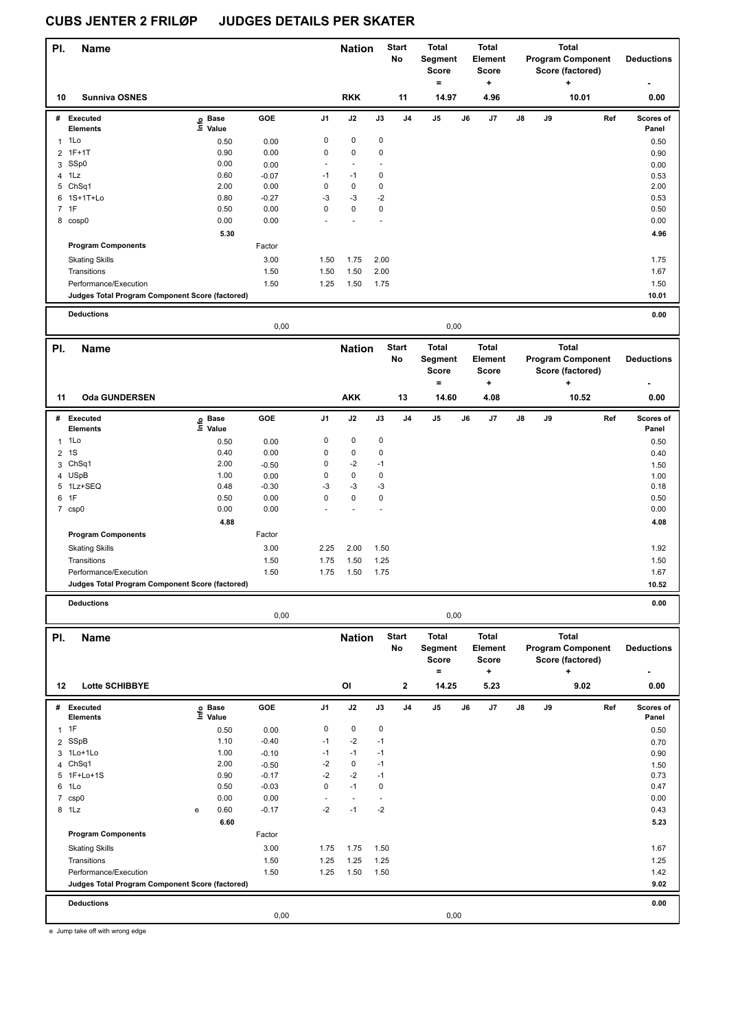| PI.            | Name                                                                     |                                                                   |              |              | <b>Nation</b>                    |                          | <b>Start</b><br>No | Total<br>Segment<br>Score<br>$\equiv$ |    | <b>Total</b><br>Element<br>Score<br>÷          |    |    | <b>Total</b><br><b>Program Component</b><br>Score (factored)<br>٠ | <b>Deductions</b>  |
|----------------|--------------------------------------------------------------------------|-------------------------------------------------------------------|--------------|--------------|----------------------------------|--------------------------|--------------------|---------------------------------------|----|------------------------------------------------|----|----|-------------------------------------------------------------------|--------------------|
| 10             | <b>Sunniva OSNES</b>                                                     |                                                                   |              |              | <b>RKK</b>                       |                          | 11                 | 14.97                                 |    | 4.96                                           |    |    | 10.01                                                             | 0.00               |
|                | # Executed                                                               | $\overset{\circ}{\equiv}$ Pase<br>$\overset{\circ}{\equiv}$ Value | GOE          | J1           | J2                               | J3                       | J4                 | J5                                    | J6 | J7                                             | J8 | J9 | Ref                                                               | Scores of          |
|                | <b>Elements</b>                                                          |                                                                   |              |              | $\pmb{0}$                        |                          |                    |                                       |    |                                                |    |    |                                                                   | Panel              |
| $\mathbf{1}$   | 1Lo<br>$1F+1T$                                                           | 0.50                                                              | 0.00<br>0.00 | 0<br>0       | $\pmb{0}$                        | 0<br>0                   |                    |                                       |    |                                                |    |    |                                                                   | 0.50               |
| 2<br>3         | SSp0                                                                     | 0.90<br>0.00                                                      | 0.00         |              | $\blacksquare$                   |                          |                    |                                       |    |                                                |    |    |                                                                   | 0.90<br>0.00       |
|                | 4 1Lz                                                                    | 0.60                                                              | $-0.07$      | -1           | $-1$                             | 0                        |                    |                                       |    |                                                |    |    |                                                                   | 0.53               |
|                | 5 ChSq1                                                                  | 2.00                                                              | 0.00         | $\mathbf 0$  | $\pmb{0}$                        | 0                        |                    |                                       |    |                                                |    |    |                                                                   | 2.00               |
| 6              | 1S+1T+Lo                                                                 | 0.80                                                              | $-0.27$      | $-3$         | $-3$                             | $-2$                     |                    |                                       |    |                                                |    |    |                                                                   | 0.53               |
|                | 7 1F                                                                     | 0.50                                                              | 0.00         | 0            | 0                                | 0                        |                    |                                       |    |                                                |    |    |                                                                   | 0.50               |
|                | 8 cosp0                                                                  | 0.00                                                              | 0.00         |              |                                  |                          |                    |                                       |    |                                                |    |    |                                                                   | 0.00               |
|                |                                                                          | 5.30                                                              |              |              |                                  |                          |                    |                                       |    |                                                |    |    |                                                                   | 4.96               |
|                | <b>Program Components</b>                                                |                                                                   | Factor       |              |                                  |                          |                    |                                       |    |                                                |    |    |                                                                   |                    |
|                | <b>Skating Skills</b>                                                    |                                                                   | 3.00         | 1.50         | 1.75                             | 2.00                     |                    |                                       |    |                                                |    |    |                                                                   | 1.75               |
|                | Transitions                                                              |                                                                   | 1.50         | 1.50         | 1.50                             | 2.00                     |                    |                                       |    |                                                |    |    |                                                                   | 1.67               |
|                | Performance/Execution                                                    |                                                                   | 1.50         | 1.25         | 1.50                             | 1.75                     |                    |                                       |    |                                                |    |    |                                                                   | 1.50               |
|                | Judges Total Program Component Score (factored)                          |                                                                   |              |              |                                  |                          |                    |                                       |    |                                                |    |    |                                                                   | 10.01              |
|                | <b>Deductions</b>                                                        |                                                                   |              |              |                                  |                          |                    |                                       |    |                                                |    |    |                                                                   | 0.00               |
|                |                                                                          |                                                                   | 0,00         |              |                                  |                          |                    | 0,00                                  |    |                                                |    |    |                                                                   |                    |
| PI.            | <b>Name</b>                                                              |                                                                   |              |              | <b>Nation</b>                    |                          | <b>Start</b>       | <b>Total</b>                          |    | <b>Total</b>                                   |    |    | <b>Total</b>                                                      |                    |
|                |                                                                          |                                                                   |              |              |                                  |                          | No                 | Segment<br><b>Score</b><br>$=$        |    | Element<br><b>Score</b>                        |    |    | <b>Program Component</b><br>Score (factored)                      | <b>Deductions</b>  |
| 11             | <b>Oda GUNDERSEN</b>                                                     |                                                                   |              |              | <b>AKK</b>                       |                          | 13                 | 14.60                                 |    | +<br>4.08                                      |    |    | ٠<br>10.52                                                        | 0.00               |
|                | # Executed                                                               |                                                                   | GOE          | J1           | J2                               | $\mathsf{J3}$            | J <sub>4</sub>     | J5                                    | J6 | J7                                             | J8 | J9 | Ref                                                               | Scores of          |
|                | <b>Elements</b>                                                          | e Base<br>E Value<br>Value                                        |              |              |                                  |                          |                    |                                       |    |                                                |    |    |                                                                   | Panel              |
| 1              | 1Lo                                                                      | 0.50                                                              | 0.00         | 0            | $\pmb{0}$                        | $\pmb{0}$                |                    |                                       |    |                                                |    |    |                                                                   | 0.50               |
| $\overline{2}$ | 1S                                                                       | 0.40                                                              | 0.00         | 0            | $\pmb{0}$                        | 0                        |                    |                                       |    |                                                |    |    |                                                                   | 0.40               |
|                | 3 ChSq1                                                                  | 2.00                                                              | $-0.50$      | 0            | $-2$                             | $-1$                     |                    |                                       |    |                                                |    |    |                                                                   | 1.50               |
|                | 4 USpB                                                                   | 1.00                                                              | 0.00         | 0            | $\pmb{0}$                        | $\pmb{0}$                |                    |                                       |    |                                                |    |    |                                                                   | 1.00               |
|                | 5 1Lz+SEQ                                                                | 0.48                                                              | $-0.30$      | $-3$         | $-3$                             | $-3$                     |                    |                                       |    |                                                |    |    |                                                                   | 0.18               |
| 6              | 1F                                                                       | 0.50                                                              | 0.00         | 0            | $\pmb{0}$<br>Ĭ.                  | 0                        |                    |                                       |    |                                                |    |    |                                                                   | 0.50               |
|                | 7 csp0                                                                   | 0.00                                                              | 0.00         |              |                                  |                          |                    |                                       |    |                                                |    |    |                                                                   | 0.00               |
|                | <b>Program Components</b>                                                | 4.88                                                              | Factor       |              |                                  |                          |                    |                                       |    |                                                |    |    |                                                                   | 4.08               |
|                |                                                                          |                                                                   |              |              |                                  |                          |                    |                                       |    |                                                |    |    |                                                                   |                    |
|                | <b>Skating Skills</b><br>Transitions                                     |                                                                   | 3.00         | 2.25<br>1.75 | 2.00<br>1.50                     | 1.50<br>1.25             |                    |                                       |    |                                                |    |    |                                                                   | 1.92<br>1.50       |
|                |                                                                          |                                                                   | 1.50<br>1.50 | 1.75         | 1.50                             | 1.75                     |                    |                                       |    |                                                |    |    |                                                                   | 1.67               |
|                | Performance/Execution<br>Judges Total Program Component Score (factored) |                                                                   |              |              |                                  |                          |                    |                                       |    |                                                |    |    |                                                                   | 10.52              |
|                |                                                                          |                                                                   |              |              |                                  |                          |                    |                                       |    |                                                |    |    |                                                                   |                    |
|                | <b>Deductions</b>                                                        |                                                                   |              |              |                                  |                          |                    |                                       |    |                                                |    |    |                                                                   | 0.00               |
|                |                                                                          |                                                                   | 0,00         |              |                                  |                          |                    | 0,00                                  |    |                                                |    |    |                                                                   |                    |
| PI.            | <b>Name</b>                                                              |                                                                   |              |              | <b>Nation</b>                    |                          | <b>Start</b><br>No | <b>Total</b><br>Segment<br>Score      |    | <b>Total</b><br><b>Element</b><br><b>Score</b> |    |    | <b>Total</b><br><b>Program Component</b><br>Score (factored)      | <b>Deductions</b>  |
| 12             | Lotte SCHIBBYE                                                           |                                                                   |              |              | OI                               |                          | 2                  | $\equiv$<br>14.25                     |    | $\ddot{}$<br>5.23                              |    |    | ٠<br>9.02                                                         | 0.00               |
|                | # Executed<br>Elements                                                   | e Base<br>⊑ Value                                                 | GOE          | J1           | J2                               | $\mathsf{J3}$            | J4                 | $\mathsf{J}5$                         | J6 | J7                                             | J8 | J9 | Ref                                                               | Scores of<br>Panel |
| $\mathbf{1}$   | 1F                                                                       | 0.50                                                              | 0.00         | $\pmb{0}$    | $\pmb{0}$                        | $\mathbf 0$              |                    |                                       |    |                                                |    |    |                                                                   | 0.50               |
| 2              | SSpB                                                                     | 1.10                                                              | $-0.40$      | $-1$         | $-2$                             | $-1$                     |                    |                                       |    |                                                |    |    |                                                                   | 0.70               |
| 3              | 1Lo+1Lo                                                                  | 1.00                                                              | $-0.10$      | $-1$         | $-1$                             | $-1$                     |                    |                                       |    |                                                |    |    |                                                                   | 0.90               |
|                | 4 ChSq1                                                                  | 2.00                                                              | $-0.50$      | $-2$         | $\pmb{0}$                        | $-1$                     |                    |                                       |    |                                                |    |    |                                                                   | 1.50               |
| 5              | $1F+Lo+1S$                                                               | 0.90                                                              | $-0.17$      | $-2$         | $-2$                             | $-1$                     |                    |                                       |    |                                                |    |    |                                                                   | 0.73               |
| 6              | 1Lo                                                                      | 0.50                                                              | $-0.03$      | $\mathbf 0$  | $-1$                             | $\mathbf 0$              |                    |                                       |    |                                                |    |    |                                                                   | 0.47               |
| $\overline{7}$ | csp0                                                                     | 0.00                                                              | 0.00         | ÷,           | $\overline{\phantom{a}}$<br>$-1$ | $\overline{\phantom{a}}$ |                    |                                       |    |                                                |    |    |                                                                   | 0.00               |
|                | 8 1Lz                                                                    | 0.60<br>e                                                         | $-0.17$      | $-2$         |                                  | $-2$                     |                    |                                       |    |                                                |    |    |                                                                   | 0.43               |
|                | <b>Program Components</b>                                                | 6.60                                                              | Factor       |              |                                  |                          |                    |                                       |    |                                                |    |    |                                                                   | 5.23               |
|                |                                                                          |                                                                   |              |              |                                  |                          |                    |                                       |    |                                                |    |    |                                                                   |                    |
|                | <b>Skating Skills</b>                                                    |                                                                   | 3.00         | 1.75<br>1.25 | 1.75<br>1.25                     | 1.50                     |                    |                                       |    |                                                |    |    |                                                                   | 1.67               |
|                | Transitions<br>Performance/Execution                                     |                                                                   | 1.50<br>1.50 | 1.25         | 1.50                             | 1.25<br>1.50             |                    |                                       |    |                                                |    |    |                                                                   | 1.25<br>1.42       |
|                | Judges Total Program Component Score (factored)                          |                                                                   |              |              |                                  |                          |                    |                                       |    |                                                |    |    |                                                                   | 9.02               |
|                | <b>Deductions</b>                                                        |                                                                   |              |              |                                  |                          |                    |                                       |    |                                                |    |    |                                                                   | 0.00               |
|                |                                                                          |                                                                   | 0,00         |              |                                  |                          |                    | 0,00                                  |    |                                                |    |    |                                                                   |                    |
|                |                                                                          |                                                                   |              |              |                                  |                          |                    |                                       |    |                                                |    |    |                                                                   |                    |

e Jump take off with wrong edge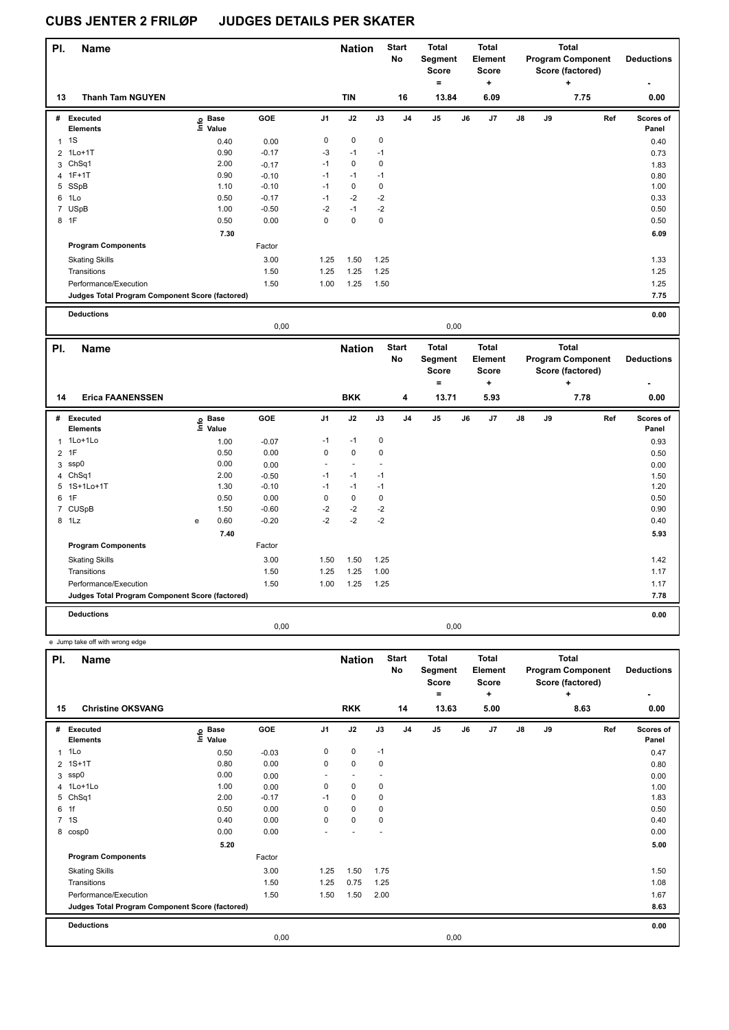| PI. | <b>Name</b>                                     |                   |         |                | <b>Nation</b> |             | <b>Start</b><br>No | <b>Total</b><br>Segment<br><b>Score</b><br>۰ |      | <b>Total</b><br><b>Element</b><br><b>Score</b><br>٠ |               |    | Total<br><b>Program Component</b><br>Score (factored)<br>÷ | <b>Deductions</b>         |
|-----|-------------------------------------------------|-------------------|---------|----------------|---------------|-------------|--------------------|----------------------------------------------|------|-----------------------------------------------------|---------------|----|------------------------------------------------------------|---------------------------|
| 13  | <b>Thanh Tam NGUYEN</b>                         |                   |         |                | <b>TIN</b>    |             | 16                 | 13.84                                        |      | 6.09                                                |               |    | 7.75                                                       | 0.00                      |
| #   | Executed<br><b>Elements</b>                     | e Base<br>⊆ Value | GOE     | J <sub>1</sub> | J2            | J3          | J <sub>4</sub>     | J <sub>5</sub>                               | J6   | J7                                                  | $\mathsf{J}8$ | J9 | Ref                                                        | <b>Scores of</b><br>Panel |
|     | $1 \quad 1S$                                    | 0.40              | 0.00    | $\pmb{0}$      | $\pmb{0}$     | $\mathbf 0$ |                    |                                              |      |                                                     |               |    |                                                            | 0.40                      |
|     | 2 1Lo+1T                                        | 0.90              | $-0.17$ | $-3$           | $-1$          | $-1$        |                    |                                              |      |                                                     |               |    |                                                            | 0.73                      |
|     | 3 ChSq1                                         | 2.00              | $-0.17$ | $-1$           | $\pmb{0}$     | 0           |                    |                                              |      |                                                     |               |    |                                                            | 1.83                      |
|     | 4 1F+1T                                         | 0.90              | $-0.10$ | $-1$           | $-1$          | $-1$        |                    |                                              |      |                                                     |               |    |                                                            | 0.80                      |
| 5   | SSpB                                            | 1.10              | $-0.10$ | $-1$           | 0             | 0           |                    |                                              |      |                                                     |               |    |                                                            | 1.00                      |
| 6   | 1Lo                                             | 0.50              | $-0.17$ | $-1$           | $-2$          | $-2$        |                    |                                              |      |                                                     |               |    |                                                            | 0.33                      |
|     | 7 USpB                                          | 1.00              | $-0.50$ | $-2$           | $-1$          | $-2$        |                    |                                              |      |                                                     |               |    |                                                            | 0.50                      |
|     | 8 1F                                            | 0.50              | 0.00    | $\pmb{0}$      | $\pmb{0}$     | 0           |                    |                                              |      |                                                     |               |    |                                                            | 0.50                      |
|     |                                                 | 7.30              |         |                |               |             |                    |                                              |      |                                                     |               |    |                                                            | 6.09                      |
|     | <b>Program Components</b>                       |                   | Factor  |                |               |             |                    |                                              |      |                                                     |               |    |                                                            |                           |
|     | <b>Skating Skills</b>                           |                   | 3.00    | 1.25           | 1.50          | 1.25        |                    |                                              |      |                                                     |               |    |                                                            | 1.33                      |
|     | Transitions                                     |                   | 1.50    | 1.25           | 1.25          | 1.25        |                    |                                              |      |                                                     |               |    |                                                            | 1.25                      |
|     | Performance/Execution                           |                   | 1.50    | 1.00           | 1.25          | 1.50        |                    |                                              |      |                                                     |               |    |                                                            | 1.25                      |
|     | Judges Total Program Component Score (factored) |                   |         |                |               |             |                    |                                              |      |                                                     |               |    |                                                            | 7.75                      |
|     | <b>Deductions</b>                               |                   |         |                |               |             |                    |                                              |      |                                                     |               |    |                                                            | 0.00                      |
|     |                                                 |                   | 0,00    |                |               |             |                    |                                              | 0,00 |                                                     |               |    |                                                            |                           |

| PI. | Name                                            |   |                            |         |                | <b>Nation</b> |             | <b>Start</b><br>No | <b>Total</b><br>Segment<br><b>Score</b><br>= |    | <b>Total</b><br>Element<br><b>Score</b><br>٠ |               |    | <b>Total</b><br><b>Program Component</b><br>Score (factored)<br>٠ | <b>Deductions</b>  |
|-----|-------------------------------------------------|---|----------------------------|---------|----------------|---------------|-------------|--------------------|----------------------------------------------|----|----------------------------------------------|---------------|----|-------------------------------------------------------------------|--------------------|
| 14  | <b>Erica FAANENSSEN</b>                         |   |                            |         |                | <b>BKK</b>    |             | 4                  | 13.71                                        |    | 5.93                                         |               |    | 7.78                                                              | 0.00               |
| #   | <b>Executed</b><br><b>Elements</b>              |   | e Base<br>E Value<br>Value | GOE     | J <sub>1</sub> | J2            | J3          | J <sub>4</sub>     | J5                                           | J6 | J7                                           | $\mathsf{J}8$ | J9 | Ref                                                               | Scores of<br>Panel |
| 1   | 1Lo+1Lo                                         |   | 1.00                       | $-0.07$ | $-1$           | $-1$          | 0           |                    |                                              |    |                                              |               |    |                                                                   | 0.93               |
|     | 2 1F                                            |   | 0.50                       | 0.00    | 0              | $\pmb{0}$     | $\mathbf 0$ |                    |                                              |    |                                              |               |    |                                                                   | 0.50               |
|     | 3 ssp0                                          |   | 0.00                       | 0.00    | ٠              |               |             |                    |                                              |    |                                              |               |    |                                                                   | 0.00               |
|     | 4 ChSq1                                         |   | 2.00                       | $-0.50$ | $-1$           | $-1$          | $-1$        |                    |                                              |    |                                              |               |    |                                                                   | 1.50               |
|     | 5 1S+1Lo+1T                                     |   | 1.30                       | $-0.10$ | $-1$           | $-1$          | $-1$        |                    |                                              |    |                                              |               |    |                                                                   | 1.20               |
|     | 6 1F                                            |   | 0.50                       | 0.00    | 0              | 0             | 0           |                    |                                              |    |                                              |               |    |                                                                   | 0.50               |
|     | 7 CUSpB                                         |   | 1.50                       | $-0.60$ | $-2$           | $-2$          | $-2$        |                    |                                              |    |                                              |               |    |                                                                   | 0.90               |
|     | 8 1Lz                                           | e | 0.60                       | $-0.20$ | $-2$           | $-2$          | $-2$        |                    |                                              |    |                                              |               |    |                                                                   | 0.40               |
|     |                                                 |   | 7.40                       |         |                |               |             |                    |                                              |    |                                              |               |    |                                                                   | 5.93               |
|     | <b>Program Components</b>                       |   |                            | Factor  |                |               |             |                    |                                              |    |                                              |               |    |                                                                   |                    |
|     | <b>Skating Skills</b>                           |   |                            | 3.00    | 1.50           | 1.50          | 1.25        |                    |                                              |    |                                              |               |    |                                                                   | 1.42               |
|     | Transitions                                     |   |                            | 1.50    | 1.25           | 1.25          | 1.00        |                    |                                              |    |                                              |               |    |                                                                   | 1.17               |
|     | Performance/Execution                           |   |                            | 1.50    | 1.00           | 1.25          | 1.25        |                    |                                              |    |                                              |               |    |                                                                   | 1.17               |
|     | Judges Total Program Component Score (factored) |   |                            |         |                |               |             |                    |                                              |    |                                              |               |    |                                                                   | 7.78               |
|     | <b>Deductions</b>                               |   |                            |         |                |               |             |                    |                                              |    |                                              |               |    |                                                                   | 0.00               |
|     |                                                 |   |                            | 0,00    |                |               |             |                    | 0,00                                         |    |                                              |               |    |                                                                   |                    |

e Jump take off with wrong edge

| PI. | <b>Name</b>                                     |                            |         |                | <b>Nation</b> |             | <b>Start</b><br><b>No</b> | Total<br>Segment<br><b>Score</b><br>٠ |    | <b>Total</b><br>Element<br><b>Score</b><br>$\ddot{}$ |               |    | <b>Total</b><br><b>Program Component</b><br>Score (factored)<br>÷ | <b>Deductions</b>  |
|-----|-------------------------------------------------|----------------------------|---------|----------------|---------------|-------------|---------------------------|---------------------------------------|----|------------------------------------------------------|---------------|----|-------------------------------------------------------------------|--------------------|
| 15  | <b>Christine OKSVANG</b>                        |                            |         |                | <b>RKK</b>    |             | 14                        | 13.63                                 |    | 5.00                                                 |               |    | 8.63                                                              | 0.00               |
| #   | Executed<br><b>Elements</b>                     | e Base<br>⊑ Value<br>Value | GOE     | J <sub>1</sub> | J2            | J3          | J <sub>4</sub>            | J5                                    | J6 | J7                                                   | $\mathsf{J}8$ | J9 | Ref                                                               | Scores of<br>Panel |
|     | 1 1Lo                                           | 0.50                       | $-0.03$ | 0              | 0             | $-1$        |                           |                                       |    |                                                      |               |    |                                                                   | 0.47               |
|     | 2 1S+1T                                         | 0.80                       | 0.00    | 0              | 0             | $\mathbf 0$ |                           |                                       |    |                                                      |               |    |                                                                   | 0.80               |
|     | 3 ssp0                                          | 0.00                       | 0.00    |                |               |             |                           |                                       |    |                                                      |               |    |                                                                   | 0.00               |
|     | 4 1Lo+1Lo                                       | 1.00                       | 0.00    | 0              | 0             | 0           |                           |                                       |    |                                                      |               |    |                                                                   | 1.00               |
|     | 5 ChSq1                                         | 2.00                       | $-0.17$ | $-1$           | 0             | $\mathbf 0$ |                           |                                       |    |                                                      |               |    |                                                                   | 1.83               |
|     | 6 1f                                            | 0.50                       | 0.00    | 0              | $\Omega$      | $\mathbf 0$ |                           |                                       |    |                                                      |               |    |                                                                   | 0.50               |
|     | 7 1S                                            | 0.40                       | 0.00    | $\Omega$       | $\Omega$      | $\Omega$    |                           |                                       |    |                                                      |               |    |                                                                   | 0.40               |
|     | 8 cosp0                                         | 0.00                       | 0.00    |                |               |             |                           |                                       |    |                                                      |               |    |                                                                   | 0.00               |
|     |                                                 | 5.20                       |         |                |               |             |                           |                                       |    |                                                      |               |    |                                                                   | 5.00               |
|     | <b>Program Components</b>                       |                            | Factor  |                |               |             |                           |                                       |    |                                                      |               |    |                                                                   |                    |
|     | <b>Skating Skills</b>                           |                            | 3.00    | 1.25           | 1.50          | 1.75        |                           |                                       |    |                                                      |               |    |                                                                   | 1.50               |
|     | Transitions                                     |                            | 1.50    | 1.25           | 0.75          | 1.25        |                           |                                       |    |                                                      |               |    |                                                                   | 1.08               |
|     | Performance/Execution                           |                            | 1.50    | 1.50           | 1.50          | 2.00        |                           |                                       |    |                                                      |               |    |                                                                   | 1.67               |
|     | Judges Total Program Component Score (factored) |                            |         |                |               |             |                           |                                       |    |                                                      |               |    |                                                                   | 8.63               |
|     | <b>Deductions</b>                               |                            |         |                |               |             |                           |                                       |    |                                                      |               |    |                                                                   | 0.00               |
|     |                                                 |                            | 0,00    |                |               |             |                           | 0,00                                  |    |                                                      |               |    |                                                                   |                    |